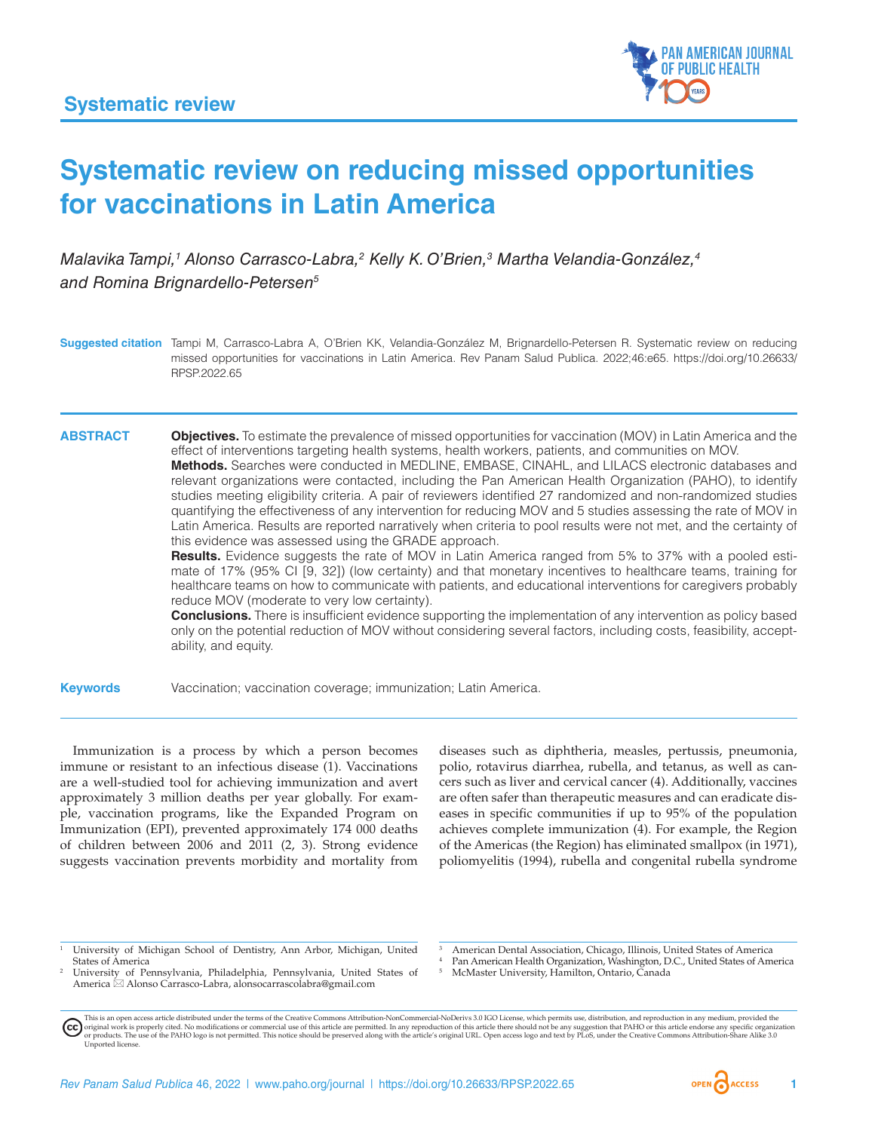

# **Systematic review on reducing missed opportunities for vaccinations in Latin America**

*Malavika Tampi,1 Alonso Carrasco-Labra,2 Kelly K. O'Brien,3 Martha Velandia-González,4 and Romina Brignardello-Petersen5*

**Suggested citation** Tampi M, Carrasco-Labra A, O'Brien KK, Velandia-González M, Brignardello-Petersen R. Systematic review on reducing missed opportunities for vaccinations in Latin America. Rev Panam Salud Publica. 2022;46:e65. [https://doi.org/10.26633/](https://doi.org/10.26633/RPSP.2022.65) [RPSP.2022.65](https://doi.org/10.26633/RPSP.2022.65)

**ABSTRACT Objectives.** To estimate the prevalence of missed opportunities for vaccination (MOV) in Latin America and the effect of interventions targeting health systems, health workers, patients, and communities on MOV. **Methods.** Searches were conducted in MEDLINE, EMBASE, CINAHL, and LILACS electronic databases and relevant organizations were contacted, including the Pan American Health Organization (PAHO), to identify studies meeting eligibility criteria. A pair of reviewers identified 27 randomized and non-randomized studies quantifying the effectiveness of any intervention for reducing MOV and 5 studies assessing the rate of MOV in Latin America. Results are reported narratively when criteria to pool results were not met, and the certainty of this evidence was assessed using the GRADE approach.

**Results.** Evidence suggests the rate of MOV in Latin America ranged from 5% to 37% with a pooled estimate of 17% (95% CI [9, 32]) (low certainty) and that monetary incentives to healthcare teams, training for healthcare teams on how to communicate with patients, and educational interventions for caregivers probably reduce MOV (moderate to very low certainty).

**Conclusions.** There is insufficient evidence supporting the implementation of any intervention as policy based only on the potential reduction of MOV without considering several factors, including costs, feasibility, acceptability, and equity.

**Keywords** Vaccination; vaccination coverage; immunization; Latin America.

Immunization is a process by which a person becomes immune or resistant to an infectious disease (1). Vaccinations are a well-studied tool for achieving immunization and avert approximately 3 million deaths per year globally. For example, vaccination programs, like the Expanded Program on Immunization (EPI), prevented approximately 174 000 deaths of children between 2006 and 2011 (2, 3). Strong evidence suggests vaccination prevents morbidity and mortality from

diseases such as diphtheria, measles, pertussis, pneumonia, polio, rotavirus diarrhea, rubella, and tetanus, as well as cancers such as liver and cervical cancer (4). Additionally, vaccines are often safer than therapeutic measures and can eradicate diseases in specific communities if up to 95% of the population achieves complete immunization (4). For example, the Region of the Americas (the Region) has eliminated smallpox (in 1971), poliomyelitis (1994), rubella and congenital rubella syndrome

<sup>3</sup> American Dental Association, Chicago, Illinois, United States of America Pan American Health Organization, Washington, D.C., United States of America

- <sup>2</sup> University of Pennsylvania, Philadelphia, Pennsylvania, United States of America  $\boxtimes$  Alonso Carrasco-Labra, [alonsocarrascolabra@gmail.com](mailto:alonsocarrascolabra@gmail.com)
	- <sup>5</sup> McMaster University, Hamilton, Ontario, Canada

This is an open access article distributed under the terms of the [Creative Commons Attribution-NonCommercial-NoDerivs 3.0 IGO](https://creativecommons.org/licenses/by-nc-nd/3.0/igo/legalcode) License, which permits use, distribution, and reproduction in any medium, provided the (cc) original work is properly cited. No modifications or commercial use of this article are permitted. In any reproduction of this article there should not be any suggestion that PAHO or this article endorse any specific organ [Unported](https://creativecommons.org/licenses/by-sa/3.0/deed.en) license.

<sup>1</sup> University of Michigan School of Dentistry, Ann Arbor, Michigan, United States of America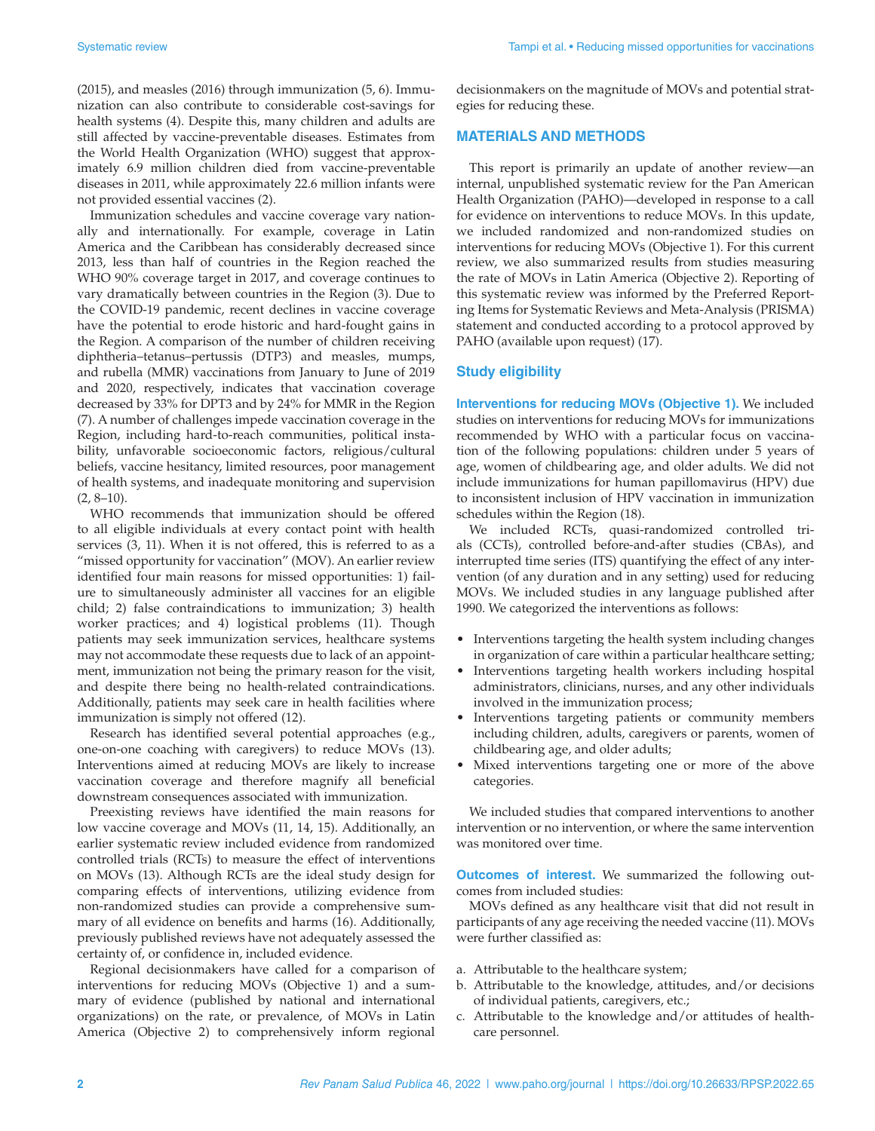(2015), and measles (2016) through immunization (5, 6). Immunization can also contribute to considerable cost-savings for health systems (4). Despite this, many children and adults are still affected by vaccine-preventable diseases. Estimates from the World Health Organization (WHO) suggest that approximately 6.9 million children died from vaccine-preventable diseases in 2011, while approximately 22.6 million infants were not provided essential vaccines (2).

Immunization schedules and vaccine coverage vary nationally and internationally. For example, coverage in Latin America and the Caribbean has considerably decreased since 2013, less than half of countries in the Region reached the WHO 90% coverage target in 2017, and coverage continues to vary dramatically between countries in the Region (3). Due to the COVID-19 pandemic, recent declines in vaccine coverage have the potential to erode historic and hard-fought gains in the Region. A comparison of the number of children receiving diphtheria–tetanus–pertussis (DTP3) and measles, mumps, and rubella (MMR) vaccinations from January to June of 2019 and 2020, respectively, indicates that vaccination coverage decreased by 33% for DPT3 and by 24% for MMR in the Region (7). A number of challenges impede vaccination coverage in the Region, including hard-to-reach communities, political instability, unfavorable socioeconomic factors, religious/cultural beliefs, vaccine hesitancy, limited resources, poor management of health systems, and inadequate monitoring and supervision  $(2, 8-10)$ .

WHO recommends that immunization should be offered to all eligible individuals at every contact point with health services (3, 11). When it is not offered, this is referred to as a "missed opportunity for vaccination" (MOV). An earlier review identified four main reasons for missed opportunities: 1) failure to simultaneously administer all vaccines for an eligible child; 2) false contraindications to immunization; 3) health worker practices; and 4) logistical problems (11). Though patients may seek immunization services, healthcare systems may not accommodate these requests due to lack of an appointment, immunization not being the primary reason for the visit, and despite there being no health-related contraindications. Additionally, patients may seek care in health facilities where immunization is simply not offered (12).

Research has identified several potential approaches (e.g., one-on-one coaching with caregivers) to reduce MOVs (13). Interventions aimed at reducing MOVs are likely to increase vaccination coverage and therefore magnify all beneficial downstream consequences associated with immunization.

Preexisting reviews have identified the main reasons for low vaccine coverage and MOVs (11, 14, 15). Additionally, an earlier systematic review included evidence from randomized controlled trials (RCTs) to measure the effect of interventions on MOVs (13). Although RCTs are the ideal study design for comparing effects of interventions, utilizing evidence from non-randomized studies can provide a comprehensive summary of all evidence on benefits and harms (16). Additionally, previously published reviews have not adequately assessed the certainty of, or confidence in, included evidence.

Regional decisionmakers have called for a comparison of interventions for reducing MOVs (Objective 1) and a summary of evidence (published by national and international organizations) on the rate, or prevalence, of MOVs in Latin America (Objective 2) to comprehensively inform regional decisionmakers on the magnitude of MOVs and potential strategies for reducing these.

### **MATERIALS AND METHODS**

This report is primarily an update of another review—an internal, unpublished systematic review for the Pan American Health Organization (PAHO)—developed in response to a call for evidence on interventions to reduce MOVs. In this update, we included randomized and non-randomized studies on interventions for reducing MOVs (Objective 1). For this current review, we also summarized results from studies measuring the rate of MOVs in Latin America (Objective 2). Reporting of this systematic review was informed by the Preferred Reporting Items for Systematic Reviews and Meta-Analysis (PRISMA) statement and conducted according to a protocol approved by PAHO (available upon request) (17).

#### **Study eligibility**

**Interventions for reducing MOVs (Objective 1).** We included studies on interventions for reducing MOVs for immunizations recommended by WHO with a particular focus on vaccination of the following populations: children under 5 years of age, women of childbearing age, and older adults. We did not include immunizations for human papillomavirus (HPV) due to inconsistent inclusion of HPV vaccination in immunization schedules within the Region (18).

We included RCTs, quasi-randomized controlled trials (CCTs), controlled before-and-after studies (CBAs), and interrupted time series (ITS) quantifying the effect of any intervention (of any duration and in any setting) used for reducing MOVs. We included studies in any language published after 1990. We categorized the interventions as follows:

- Interventions targeting the health system including changes in organization of care within a particular healthcare setting;
- Interventions targeting health workers including hospital administrators, clinicians, nurses, and any other individuals involved in the immunization process;
- Interventions targeting patients or community members including children, adults, caregivers or parents, women of childbearing age, and older adults;
- Mixed interventions targeting one or more of the above categories.

We included studies that compared interventions to another intervention or no intervention, or where the same intervention was monitored over time.

**Outcomes of interest.** We summarized the following outcomes from included studies:

MOVs defined as any healthcare visit that did not result in participants of any age receiving the needed vaccine (11). MOVs were further classified as:

- a. Attributable to the healthcare system;
- b. Attributable to the knowledge, attitudes, and/or decisions of individual patients, caregivers, etc.;
- c. Attributable to the knowledge and/or attitudes of healthcare personnel.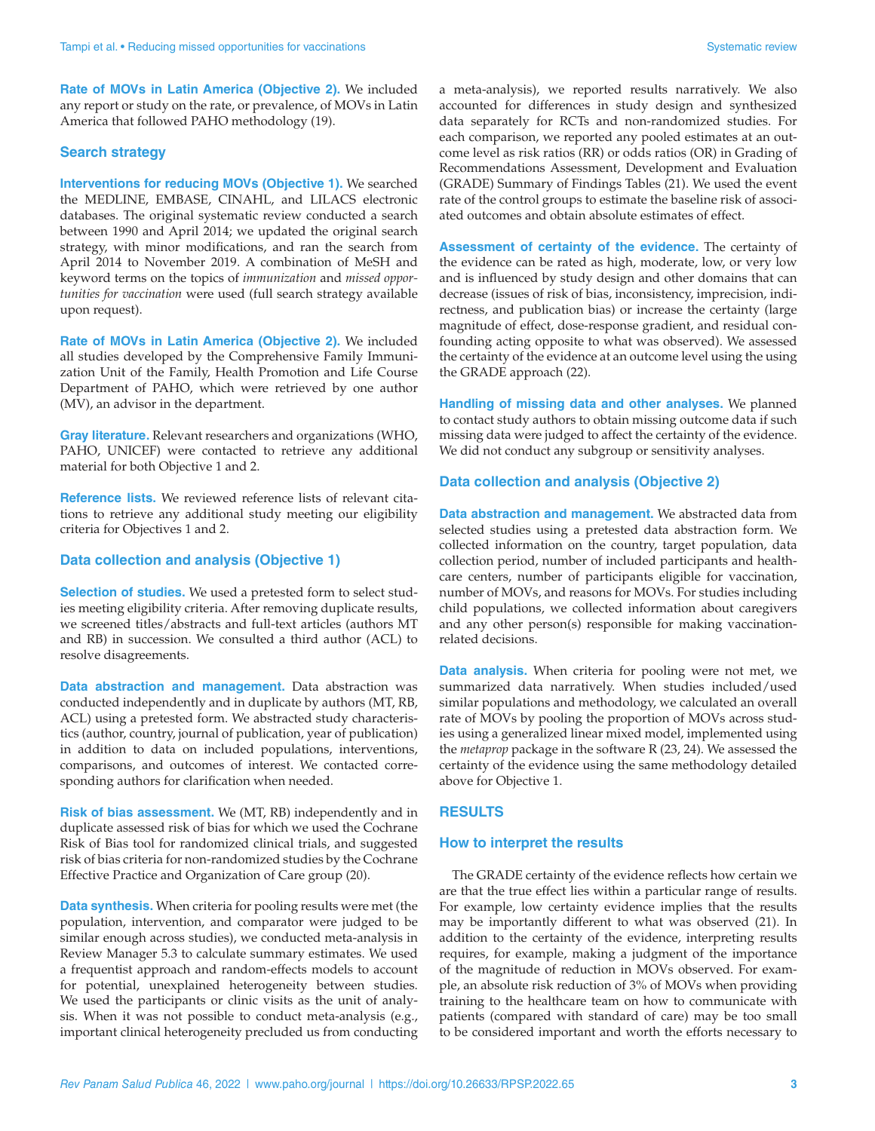**Rate of MOVs in Latin America (Objective 2).** We included any report or study on the rate, or prevalence, of MOVs in Latin America that followed PAHO methodology (19).

#### **Search strategy**

**Interventions for reducing MOVs (Objective 1).** We searched the MEDLINE, EMBASE, CINAHL, and LILACS electronic databases. The original systematic review conducted a search between 1990 and April 2014; we updated the original search strategy, with minor modifications, and ran the search from April 2014 to November 2019. A combination of MeSH and keyword terms on the topics of *immunization* and *missed opportunities for vaccination* were used (full search strategy available upon request).

**Rate of MOVs in Latin America (Objective 2).** We included all studies developed by the Comprehensive Family Immunization Unit of the Family, Health Promotion and Life Course Department of PAHO, which were retrieved by one author (MV), an advisor in the department.

**Gray literature.** Relevant researchers and organizations (WHO, PAHO, UNICEF) were contacted to retrieve any additional material for both Objective 1 and 2.

**Reference lists.** We reviewed reference lists of relevant citations to retrieve any additional study meeting our eligibility criteria for Objectives 1 and 2.

#### **Data collection and analysis (Objective 1)**

**Selection of studies.** We used a pretested form to select studies meeting eligibility criteria. After removing duplicate results, we screened titles/abstracts and full-text articles (authors MT and RB) in succession. We consulted a third author (ACL) to resolve disagreements.

**Data abstraction and management.** Data abstraction was conducted independently and in duplicate by authors (MT, RB, ACL) using a pretested form. We abstracted study characteristics (author, country, journal of publication, year of publication) in addition to data on included populations, interventions, comparisons, and outcomes of interest. We contacted corresponding authors for clarification when needed.

**Risk of bias assessment.** We (MT, RB) independently and in duplicate assessed risk of bias for which we used the Cochrane Risk of Bias tool for randomized clinical trials, and suggested risk of bias criteria for non-randomized studies by the Cochrane Effective Practice and Organization of Care group (20).

**Data synthesis.** When criteria for pooling results were met (the population, intervention, and comparator were judged to be similar enough across studies), we conducted meta-analysis in Review Manager 5.3 to calculate summary estimates. We used a frequentist approach and random-effects models to account for potential, unexplained heterogeneity between studies. We used the participants or clinic visits as the unit of analysis. When it was not possible to conduct meta-analysis (e.g., important clinical heterogeneity precluded us from conducting

a meta-analysis), we reported results narratively. We also accounted for differences in study design and synthesized data separately for RCTs and non-randomized studies. For each comparison, we reported any pooled estimates at an outcome level as risk ratios (RR) or odds ratios (OR) in Grading of Recommendations Assessment, Development and Evaluation (GRADE) Summary of Findings Tables (21). We used the event rate of the control groups to estimate the baseline risk of associated outcomes and obtain absolute estimates of effect.

**Assessment of certainty of the evidence.** The certainty of the evidence can be rated as high, moderate, low, or very low and is influenced by study design and other domains that can decrease (issues of risk of bias, inconsistency, imprecision, indirectness, and publication bias) or increase the certainty (large magnitude of effect, dose-response gradient, and residual confounding acting opposite to what was observed). We assessed the certainty of the evidence at an outcome level using the using the GRADE approach (22).

**Handling of missing data and other analyses.** We planned to contact study authors to obtain missing outcome data if such missing data were judged to affect the certainty of the evidence. We did not conduct any subgroup or sensitivity analyses.

#### **Data collection and analysis (Objective 2)**

**Data abstraction and management.** We abstracted data from selected studies using a pretested data abstraction form. We collected information on the country, target population, data collection period, number of included participants and healthcare centers, number of participants eligible for vaccination, number of MOVs, and reasons for MOVs. For studies including child populations, we collected information about caregivers and any other person(s) responsible for making vaccinationrelated decisions.

**Data analysis.** When criteria for pooling were not met, we summarized data narratively. When studies included/used similar populations and methodology, we calculated an overall rate of MOVs by pooling the proportion of MOVs across studies using a generalized linear mixed model, implemented using the *metaprop* package in the software R (23, 24). We assessed the certainty of the evidence using the same methodology detailed above for Objective 1.

#### **RESULTS**

#### **How to interpret the results**

The GRADE certainty of the evidence reflects how certain we are that the true effect lies within a particular range of results. For example, low certainty evidence implies that the results may be importantly different to what was observed (21). In addition to the certainty of the evidence, interpreting results requires, for example, making a judgment of the importance of the magnitude of reduction in MOVs observed. For example, an absolute risk reduction of 3% of MOVs when providing training to the healthcare team on how to communicate with patients (compared with standard of care) may be too small to be considered important and worth the efforts necessary to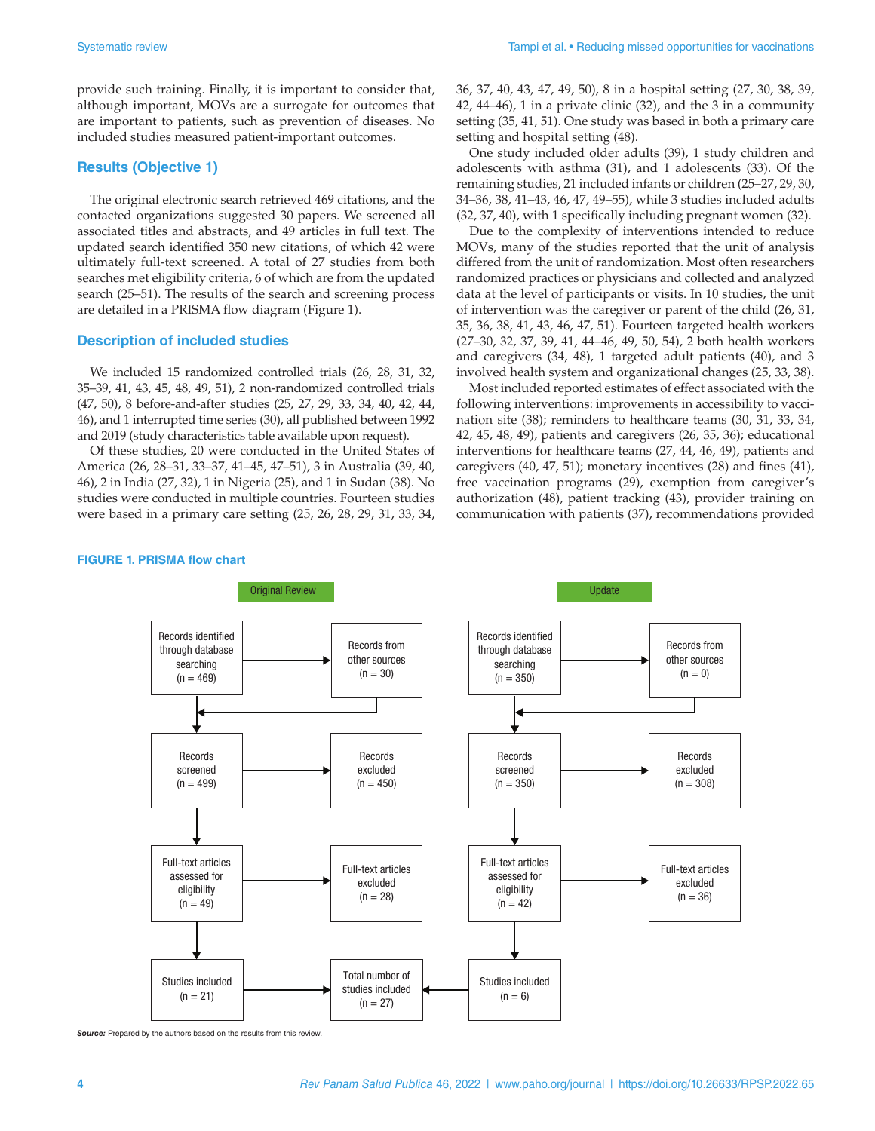provide such training. Finally, it is important to consider that, although important, MOVs are a surrogate for outcomes that are important to patients, such as prevention of diseases. No included studies measured patient-important outcomes.

### **Results (Objective 1)**

The original electronic search retrieved 469 citations, and the contacted organizations suggested 30 papers. We screened all associated titles and abstracts, and 49 articles in full text. The updated search identified 350 new citations, of which 42 were ultimately full-text screened. A total of 27 studies from both searches met eligibility criteria, 6 of which are from the updated search (25–51). The results of the search and screening process are detailed in a PRISMA flow diagram (Figure 1).

#### **Description of included studies**

We included 15 randomized controlled trials (26, 28, 31, 32, 35–39, 41, 43, 45, 48, 49, 51), 2 non-randomized controlled trials (47, 50), 8 before-and-after studies (25, 27, 29, 33, 34, 40, 42, 44, 46), and 1 interrupted time series (30), all published between 1992 and 2019 (study characteristics table available upon request).

Of these studies, 20 were conducted in the United States of America (26, 28–31, 33–37, 41–45, 47–51), 3 in Australia (39, 40, 46), 2 in India (27, 32), 1 in Nigeria (25), and 1 in Sudan (38). No studies were conducted in multiple countries. Fourteen studies were based in a primary care setting (25, 26, 28, 29, 31, 33, 34, 36, 37, 40, 43, 47, 49, 50), 8 in a hospital setting (27, 30, 38, 39, 42, 44–46), 1 in a private clinic (32), and the 3 in a community setting (35, 41, 51). One study was based in both a primary care setting and hospital setting (48).

One study included older adults (39), 1 study children and adolescents with asthma (31), and 1 adolescents (33). Of the remaining studies, 21 included infants or children (25–27, 29, 30, 34–36, 38, 41–43, 46, 47, 49–55), while 3 studies included adults (32, 37, 40), with 1 specifically including pregnant women (32).

Due to the complexity of interventions intended to reduce MOVs, many of the studies reported that the unit of analysis differed from the unit of randomization. Most often researchers randomized practices or physicians and collected and analyzed data at the level of participants or visits. In 10 studies, the unit of intervention was the caregiver or parent of the child (26, 31, 35, 36, 38, 41, 43, 46, 47, 51). Fourteen targeted health workers (27–30, 32, 37, 39, 41, 44–46, 49, 50, 54), 2 both health workers and caregivers (34, 48), 1 targeted adult patients (40), and 3 involved health system and organizational changes (25, 33, 38).

Most included reported estimates of effect associated with the following interventions: improvements in accessibility to vaccination site (38); reminders to healthcare teams (30, 31, 33, 34, 42, 45, 48, 49), patients and caregivers (26, 35, 36); educational interventions for healthcare teams (27, 44, 46, 49), patients and caregivers (40, 47, 51); monetary incentives (28) and fines (41), free vaccination programs (29), exemption from caregiver's authorization (48), patient tracking (43), provider training on communication with patients (37), recommendations provided

#### **FIGURE 1. PRISMA flow chart**



**Source:** Prepared by the authors based on the results from this review.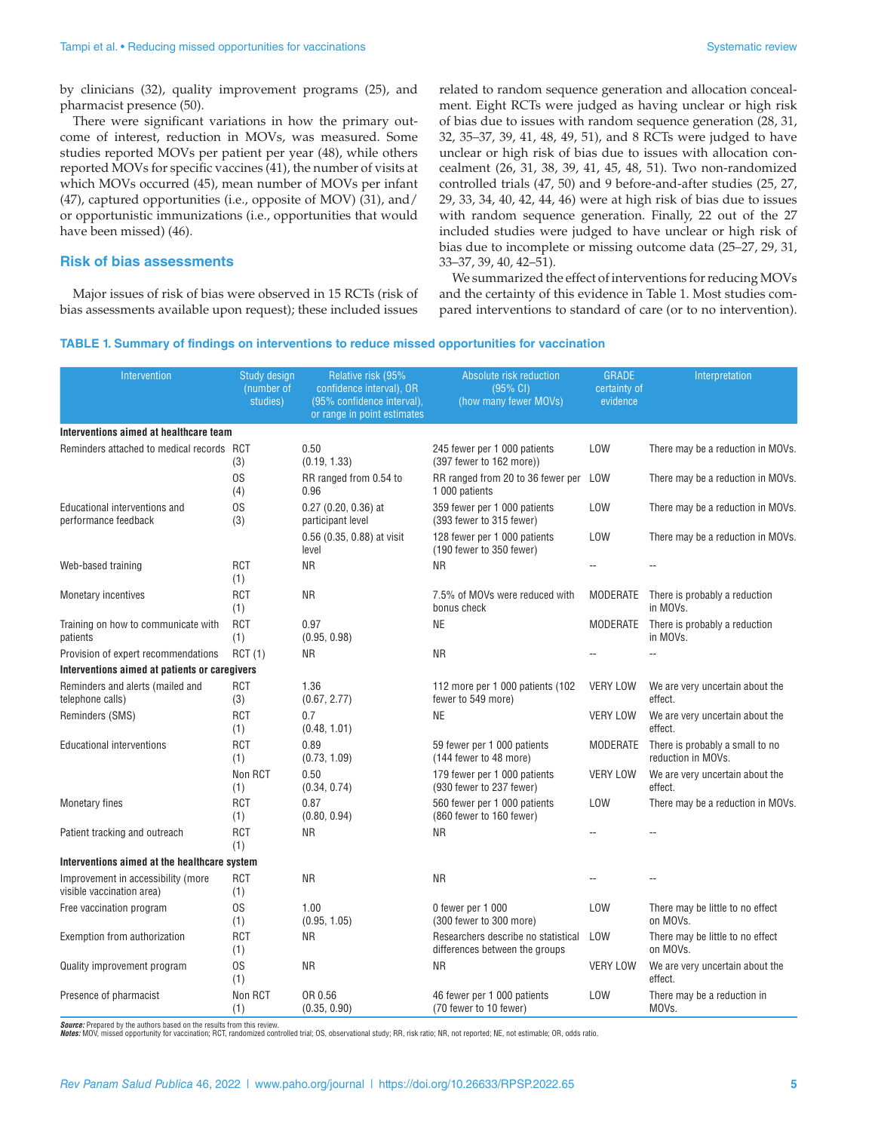by clinicians (32), quality improvement programs (25), and pharmacist presence (50).

There were significant variations in how the primary outcome of interest, reduction in MOVs, was measured. Some studies reported MOVs per patient per year (48), while others reported MOVs for specific vaccines (41), the number of visits at which MOVs occurred (45), mean number of MOVs per infant (47), captured opportunities (i.e., opposite of MOV) (31), and/ or opportunistic immunizations (i.e., opportunities that would have been missed) (46).

#### **Risk of bias assessments**

Major issues of risk of bias were observed in 15 RCTs (risk of bias assessments available upon request); these included issues

related to random sequence generation and allocation concealment. Eight RCTs were judged as having unclear or high risk of bias due to issues with random sequence generation (28, 31, 32, 35–37, 39, 41, 48, 49, 51), and 8 RCTs were judged to have unclear or high risk of bias due to issues with allocation concealment (26, 31, 38, 39, 41, 45, 48, 51). Two non-randomized controlled trials (47, 50) and 9 before-and-after studies (25, 27, 29, 33, 34, 40, 42, 44, 46) were at high risk of bias due to issues with random sequence generation. Finally, 22 out of the 27 included studies were judged to have unclear or high risk of bias due to incomplete or missing outcome data (25–27, 29, 31, 33–37, 39, 40, 42–51).

We summarized the effect of interventions for reducing MOVs and the certainty of this evidence in Table 1. Most studies compared interventions to standard of care (or to no intervention).

#### **TABLE 1. Summary of findings on interventions to reduce missed opportunities for vaccination**

| Intervention                                                    | Study design<br>(number of<br>studies) | Relative risk (95%<br>confidence interval), OR<br>(95% confidence interval),<br>or range in point estimates | Absolute risk reduction<br>(95% CI)<br>(how many fewer MOVs)          | <b>GRADE</b><br>certainty of<br>evidence | Interpretation                                        |  |
|-----------------------------------------------------------------|----------------------------------------|-------------------------------------------------------------------------------------------------------------|-----------------------------------------------------------------------|------------------------------------------|-------------------------------------------------------|--|
| Interventions aimed at healthcare team                          |                                        |                                                                                                             |                                                                       |                                          |                                                       |  |
| Reminders attached to medical records RCT                       | (3)                                    | 0.50<br>(0.19, 1.33)                                                                                        | 245 fewer per 1 000 patients<br>(397 fewer to 162 more))              | LOW                                      | There may be a reduction in MOVs.                     |  |
|                                                                 | 0S<br>(4)                              | RR ranged from 0.54 to<br>0.96                                                                              | RR ranged from 20 to 36 fewer per<br>1 000 patients                   | LOW                                      | There may be a reduction in MOVs.                     |  |
| Educational interventions and<br>performance feedback           | 0S<br>(3)                              | 0.27 (0.20, 0.36) at<br>participant level                                                                   | 359 fewer per 1 000 patients<br>(393 fewer to 315 fewer)              | <b>LOW</b>                               | There may be a reduction in MOVs.                     |  |
|                                                                 |                                        | 0.56 (0.35, 0.88) at visit<br>level                                                                         | 128 fewer per 1 000 patients<br>(190 fewer to 350 fewer)              | <b>LOW</b>                               | There may be a reduction in MOVs.                     |  |
| Web-based training                                              | <b>RCT</b><br>(1)                      | <b>NR</b>                                                                                                   | <b>NR</b>                                                             |                                          | $-$                                                   |  |
| Monetary incentives                                             | <b>RCT</b><br>(1)                      | <b>NR</b>                                                                                                   | 7.5% of MOVs were reduced with<br>bonus check                         | <b>MODERATE</b>                          | There is probably a reduction<br>in MOVs.             |  |
| Training on how to communicate with<br>patients                 | <b>RCT</b><br>(1)                      | 0.97<br>(0.95, 0.98)                                                                                        | <b>NE</b>                                                             | MODERATE                                 | There is probably a reduction<br>in MOVs.             |  |
| Provision of expert recommendations                             | RCT(1)                                 | <b>NR</b>                                                                                                   | <b>NR</b>                                                             |                                          | $-$                                                   |  |
| Interventions aimed at patients or caregivers                   |                                        |                                                                                                             |                                                                       |                                          |                                                       |  |
| Reminders and alerts (mailed and<br>telephone calls)            | <b>RCT</b><br>(3)                      | 1.36<br>(0.67, 2.77)                                                                                        | 112 more per 1 000 patients (102<br>fewer to 549 more)                | <b>VERY LOW</b>                          | We are very uncertain about the<br>effect.            |  |
| Reminders (SMS)                                                 | <b>RCT</b><br>(1)                      | 0.7<br>(0.48, 1.01)                                                                                         | <b>NE</b>                                                             | <b>VERY LOW</b>                          | We are very uncertain about the<br>effect.            |  |
| <b>Educational interventions</b>                                | <b>RCT</b><br>(1)                      | 0.89<br>(0.73, 1.09)                                                                                        | 59 fewer per 1 000 patients<br>(144 fewer to 48 more)                 | <b>MODERATE</b>                          | There is probably a small to no<br>reduction in MOVs. |  |
|                                                                 | Non RCT<br>(1)                         | 0.50<br>(0.34, 0.74)                                                                                        | 179 fewer per 1 000 patients<br>(930 fewer to 237 fewer)              | <b>VERY LOW</b>                          | We are very uncertain about the<br>effect.            |  |
| <b>Monetary fines</b>                                           | <b>RCT</b><br>(1)                      | 0.87<br>(0.80, 0.94)                                                                                        | 560 fewer per 1 000 patients<br>(860 fewer to 160 fewer)              | LOW                                      | There may be a reduction in MOVs.                     |  |
| Patient tracking and outreach                                   | <b>RCT</b><br>(1)                      | <b>NR</b>                                                                                                   | <b>NR</b>                                                             |                                          |                                                       |  |
| Interventions aimed at the healthcare system                    |                                        |                                                                                                             |                                                                       |                                          |                                                       |  |
| Improvement in accessibility (more<br>visible vaccination area) | <b>RCT</b><br>(1)                      | <b>NR</b>                                                                                                   | <b>NR</b>                                                             | $\overline{a}$                           |                                                       |  |
| Free vaccination program                                        | 0S<br>(1)                              | 1.00<br>(0.95, 1.05)                                                                                        | 0 fewer per 1 000<br>(300 fewer to 300 more)                          | <b>LOW</b>                               | There may be little to no effect<br>on MOVs.          |  |
| Exemption from authorization                                    | <b>RCT</b><br>(1)                      | <b>NR</b>                                                                                                   | Researchers describe no statistical<br>differences between the groups | LOW                                      | There may be little to no effect<br>on MOVs.          |  |
| Quality improvement program                                     | 0S<br>(1)                              | <b>NR</b>                                                                                                   | <b>NR</b>                                                             | <b>VERY LOW</b>                          | We are very uncertain about the<br>effect.            |  |
| Presence of pharmacist                                          | Non RCT<br>(1)                         | OR 0.56<br>(0.35, 0.90)                                                                                     | 46 fewer per 1 000 patients<br>(70 fewer to 10 fewer)                 | LOW                                      | There may be a reduction in<br>MOV <sub>s</sub> .     |  |

*Source:* Prepared by the authors based on the results from this review.<br>*Notes:* MOV, missed opportunity for vaccination; RCT, randomized controlled trial; OS, observational study; RR, risk ratio; NR, not reported; NE, no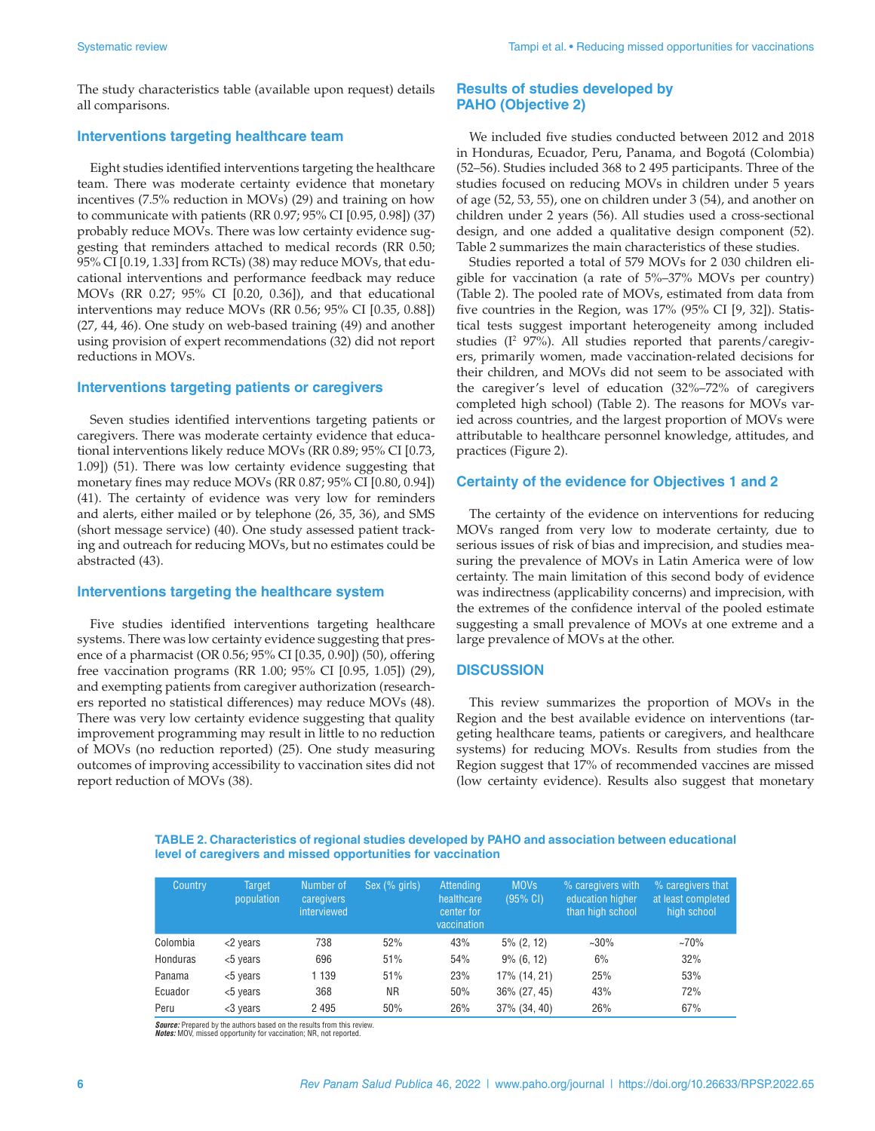The study characteristics table (available upon request) details all comparisons.

#### **Interventions targeting healthcare team**

Eight studies identified interventions targeting the healthcare team. There was moderate certainty evidence that monetary incentives (7.5% reduction in MOVs) (29) and training on how to communicate with patients (RR 0.97; 95% CI [0.95, 0.98]) (37) probably reduce MOVs. There was low certainty evidence suggesting that reminders attached to medical records (RR 0.50; 95% CI [0.19, 1.33] from RCTs) (38) may reduce MOVs, that educational interventions and performance feedback may reduce MOVs (RR 0.27; 95% CI [0.20, 0.36]), and that educational interventions may reduce MOVs (RR 0.56; 95% CI [0.35, 0.88]) (27, 44, 46). One study on web-based training (49) and another using provision of expert recommendations (32) did not report reductions in MOVs.

#### **Interventions targeting patients or caregivers**

Seven studies identified interventions targeting patients or caregivers. There was moderate certainty evidence that educational interventions likely reduce MOVs (RR 0.89; 95% CI [0.73, 1.09]) (51). There was low certainty evidence suggesting that monetary fines may reduce MOVs (RR 0.87; 95% CI [0.80, 0.94]) (41). The certainty of evidence was very low for reminders and alerts, either mailed or by telephone (26, 35, 36), and SMS (short message service) (40). One study assessed patient tracking and outreach for reducing MOVs, but no estimates could be abstracted (43).

#### **Interventions targeting the healthcare system**

Five studies identified interventions targeting healthcare systems. There was low certainty evidence suggesting that presence of a pharmacist (OR 0.56; 95% CI [0.35, 0.90]) (50), offering free vaccination programs (RR 1.00; 95% CI [0.95, 1.05]) (29), and exempting patients from caregiver authorization (researchers reported no statistical differences) may reduce MOVs (48). There was very low certainty evidence suggesting that quality improvement programming may result in little to no reduction of MOVs (no reduction reported) (25). One study measuring outcomes of improving accessibility to vaccination sites did not report reduction of MOVs (38).

#### **Results of studies developed by PAHO (Objective 2)**

We included five studies conducted between 2012 and 2018 in Honduras, Ecuador, Peru, Panama, and Bogotá (Colombia) (52–56). Studies included 368 to 2 495 participants. Three of the studies focused on reducing MOVs in children under 5 years of age (52, 53, 55), one on children under 3 (54), and another on children under 2 years (56). All studies used a cross-sectional design, and one added a qualitative design component (52). Table 2 summarizes the main characteristics of these studies.

Studies reported a total of 579 MOVs for 2 030 children eligible for vaccination (a rate of 5%–37% MOVs per country) (Table 2). The pooled rate of MOVs, estimated from data from five countries in the Region, was 17% (95% CI [9, 32]). Statistical tests suggest important heterogeneity among included studies (I<sup>2</sup> 97%). All studies reported that parents/caregivers, primarily women, made vaccination-related decisions for their children, and MOVs did not seem to be associated with the caregiver's level of education (32%–72% of caregivers completed high school) (Table 2). The reasons for MOVs varied across countries, and the largest proportion of MOVs were attributable to healthcare personnel knowledge, attitudes, and practices (Figure 2).

#### **Certainty of the evidence for Objectives 1 and 2**

The certainty of the evidence on interventions for reducing MOVs ranged from very low to moderate certainty, due to serious issues of risk of bias and imprecision, and studies measuring the prevalence of MOVs in Latin America were of low certainty. The main limitation of this second body of evidence was indirectness (applicability concerns) and imprecision, with the extremes of the confidence interval of the pooled estimate suggesting a small prevalence of MOVs at one extreme and a large prevalence of MOVs at the other.

#### **DISCUSSION**

This review summarizes the proportion of MOVs in the Region and the best available evidence on interventions (targeting healthcare teams, patients or caregivers, and healthcare systems) for reducing MOVs. Results from studies from the Region suggest that 17% of recommended vaccines are missed (low certainty evidence). Results also suggest that monetary

#### **TABLE 2. Characteristics of regional studies developed by PAHO and association between educational level of caregivers and missed opportunities for vaccination**

| Country  | <b>Target</b><br>population | Number of<br>caregivers<br><i>interviewed</i> | Sex (% girls) | Attending<br>healthcare<br>center for<br>vaccination | <b>MOVs</b><br>$(95% \text{ CI})$ | % caregivers with<br>education higher<br>than high school | % caregivers that<br>at least completed<br>high school |
|----------|-----------------------------|-----------------------------------------------|---------------|------------------------------------------------------|-----------------------------------|-----------------------------------------------------------|--------------------------------------------------------|
| Colombia | <2 years                    | 738                                           | 52%           | 43%                                                  | $5\%$ (2, 12)                     | $~20\%$                                                   | $~10\%$                                                |
| Honduras | <5 years                    | 696                                           | 51%           | 54%                                                  | $9\%$ (6, 12)                     | 6%                                                        | 32%                                                    |
| Panama   | <5 years                    | 1 139                                         | 51%           | 23%                                                  | 17% (14, 21)                      | 25%                                                       | 53%                                                    |
| Ecuador  | <5 years                    | 368                                           | <b>NR</b>     | 50%                                                  | 36% (27, 45)                      | 43%                                                       | 72%                                                    |
| Peru     | <3 years                    | 2 4 9 5                                       | 50%           | 26%                                                  | 37% (34, 40)                      | 26%                                                       | 67%                                                    |

*Source:* Prepared by the authors based on the results from this review. *Notes:* MOV, missed opportunity for vaccination; NR, not reported.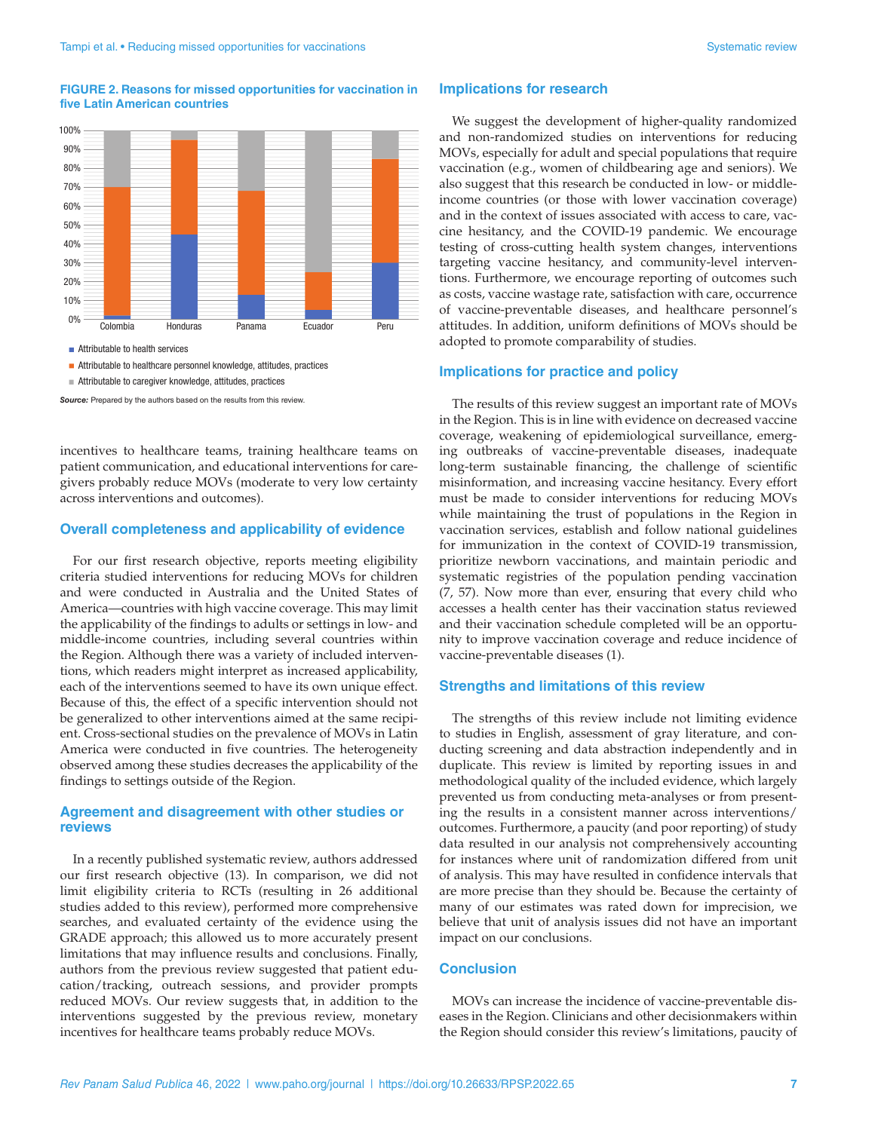#### **FIGURE 2. Reasons for missed opportunities for vaccination in five Latin American countries**



**Attributable to health services** 

Attributable to healthcare personnel knowledge, attitudes, practices

Source: Prepared by the authors based on the results from this review.

incentives to healthcare teams, training healthcare teams on patient communication, and educational interventions for caregivers probably reduce MOVs (moderate to very low certainty across interventions and outcomes).

#### **Overall completeness and applicability of evidence**

For our first research objective, reports meeting eligibility criteria studied interventions for reducing MOVs for children and were conducted in Australia and the United States of America—countries with high vaccine coverage. This may limit the applicability of the findings to adults or settings in low- and middle-income countries, including several countries within the Region. Although there was a variety of included interventions, which readers might interpret as increased applicability, each of the interventions seemed to have its own unique effect. Because of this, the effect of a specific intervention should not be generalized to other interventions aimed at the same recipient. Cross-sectional studies on the prevalence of MOVs in Latin America were conducted in five countries. The heterogeneity observed among these studies decreases the applicability of the findings to settings outside of the Region.

#### **Agreement and disagreement with other studies or reviews**

In a recently published systematic review, authors addressed our first research objective (13). In comparison, we did not limit eligibility criteria to RCTs (resulting in 26 additional studies added to this review), performed more comprehensive searches, and evaluated certainty of the evidence using the GRADE approach; this allowed us to more accurately present limitations that may influence results and conclusions. Finally, authors from the previous review suggested that patient education/tracking, outreach sessions, and provider prompts reduced MOVs. Our review suggests that, in addition to the interventions suggested by the previous review, monetary incentives for healthcare teams probably reduce MOVs.

#### **Implications for research**

We suggest the development of higher-quality randomized and non-randomized studies on interventions for reducing MOVs, especially for adult and special populations that require vaccination (e.g., women of childbearing age and seniors). We also suggest that this research be conducted in low- or middleincome countries (or those with lower vaccination coverage) and in the context of issues associated with access to care, vaccine hesitancy, and the COVID-19 pandemic. We encourage testing of cross-cutting health system changes, interventions targeting vaccine hesitancy, and community-level interventions. Furthermore, we encourage reporting of outcomes such as costs, vaccine wastage rate, satisfaction with care, occurrence of vaccine-preventable diseases, and healthcare personnel's attitudes. In addition, uniform definitions of MOVs should be adopted to promote comparability of studies.

#### **Implications for practice and policy**

The results of this review suggest an important rate of MOVs in the Region. This is in line with evidence on decreased vaccine coverage, weakening of epidemiological surveillance, emerging outbreaks of vaccine-preventable diseases, inadequate long-term sustainable financing, the challenge of scientific misinformation, and increasing vaccine hesitancy. Every effort must be made to consider interventions for reducing MOVs while maintaining the trust of populations in the Region in vaccination services, establish and follow national guidelines for immunization in the context of COVID-19 transmission, prioritize newborn vaccinations, and maintain periodic and systematic registries of the population pending vaccination (7, 57). Now more than ever, ensuring that every child who accesses a health center has their vaccination status reviewed and their vaccination schedule completed will be an opportunity to improve vaccination coverage and reduce incidence of vaccine-preventable diseases (1).

#### **Strengths and limitations of this review**

The strengths of this review include not limiting evidence to studies in English, assessment of gray literature, and conducting screening and data abstraction independently and in duplicate. This review is limited by reporting issues in and methodological quality of the included evidence, which largely prevented us from conducting meta-analyses or from presenting the results in a consistent manner across interventions/ outcomes. Furthermore, a paucity (and poor reporting) of study data resulted in our analysis not comprehensively accounting for instances where unit of randomization differed from unit of analysis. This may have resulted in confidence intervals that are more precise than they should be. Because the certainty of many of our estimates was rated down for imprecision, we believe that unit of analysis issues did not have an important impact on our conclusions.

#### **Conclusion**

MOVs can increase the incidence of vaccine-preventable diseases in the Region. Clinicians and other decisionmakers within the Region should consider this review's limitations, paucity of

Attributable to caregiver knowledge, attitudes, practices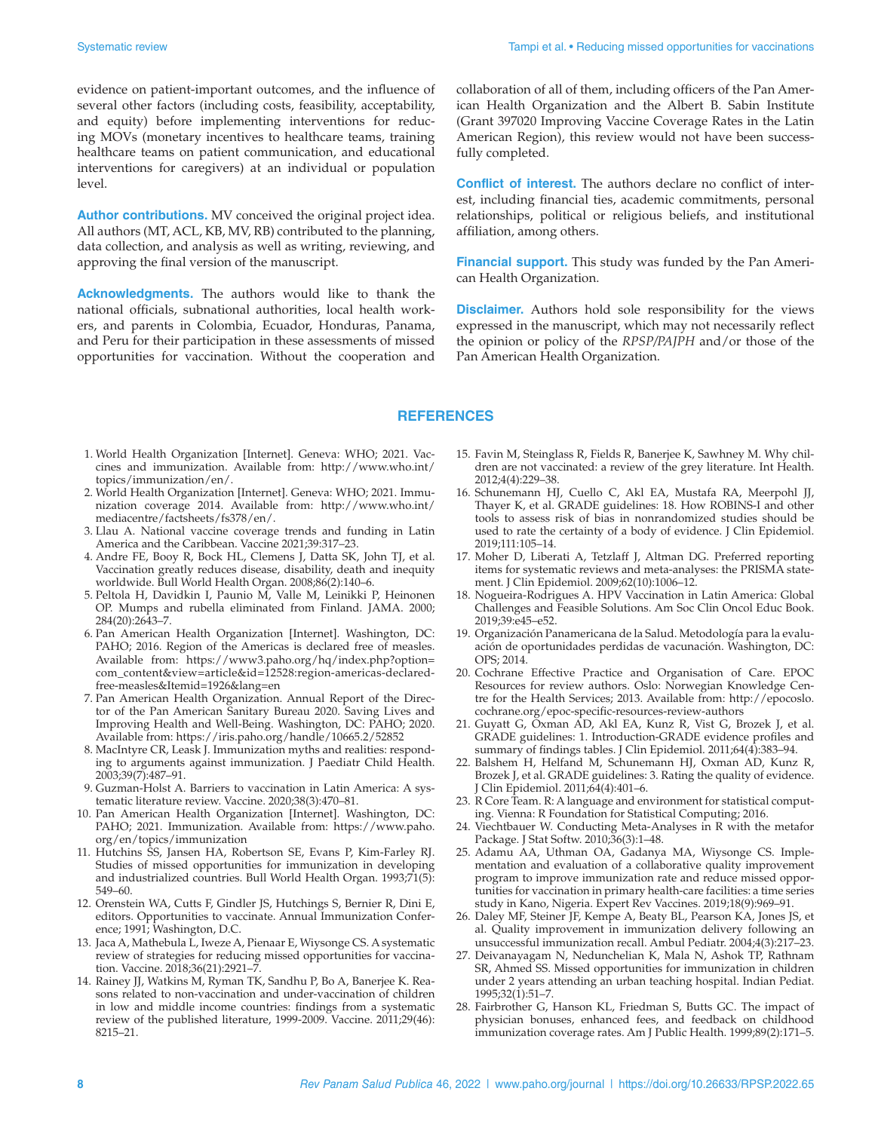evidence on patient-important outcomes, and the influence of several other factors (including costs, feasibility, acceptability, and equity) before implementing interventions for reducing MOVs (monetary incentives to healthcare teams, training healthcare teams on patient communication, and educational interventions for caregivers) at an individual or population level.

**Author contributions.** MV conceived the original project idea. All authors (MT, ACL, KB, MV, RB) contributed to the planning, data collection, and analysis as well as writing, reviewing, and approving the final version of the manuscript.

**Acknowledgments.** The authors would like to thank the national officials, subnational authorities, local health workers, and parents in Colombia, Ecuador, Honduras, Panama, and Peru for their participation in these assessments of missed opportunities for vaccination. Without the cooperation and collaboration of all of them, including officers of the Pan American Health Organization and the Albert B. Sabin Institute (Grant 397020 Improving Vaccine Coverage Rates in the Latin American Region), this review would not have been successfully completed.

**Conflict of interest.** The authors declare no conflict of interest, including financial ties, academic commitments, personal relationships, political or religious beliefs, and institutional affiliation, among others.

**Financial support.** This study was funded by the Pan American Health Organization.

**Disclaimer.** Authors hold sole responsibility for the views expressed in the manuscript, which may not necessarily reflect the opinion or policy of the *RPSP/PAJPH* and/or those of the Pan American Health Organization.

#### **REFERENCES**

- 1. World Health Organization [Internet]. Geneva: WHO; 2021. Vaccines and immunization. Available from: [http://www.who.int/](http://www.who.int/topics/immunization/en) [topics/immunization/en](http://www.who.int/topics/immunization/en)/.
- 2. World Health Organization [Internet]. Geneva: WHO; 2021. Immunization coverage 2014. Available from: [http://www.who.int/](http://www.who.int/mediacentre/factsheets/fs378/en) [mediacentre/factsheets/fs378/en](http://www.who.int/mediacentre/factsheets/fs378/en)/.
- 3. Llau A. National vaccine coverage trends and funding in Latin America and the Caribbean. Vaccine 2021;39:317–23.
- 4. Andre FE, Booy R, Bock HL, Clemens J, Datta SK, John TJ, et al. Vaccination greatly reduces disease, disability, death and inequity worldwide. Bull World Health Organ. 2008;86(2):140–6.
- 5. Peltola H, Davidkin I, Paunio M, Valle M, Leinikki P, Heinonen OP. Mumps and rubella eliminated from Finland. JAMA. 2000; 284(20):2643–7.
- 6. Pan American Health Organization [Internet]. Washington, DC: PAHO; 2016. Region of the Americas is declared free of measles. Available from: [https://www3.paho.org/hq/index.php?option=](https://www3.paho.org/hq/index.php?option=com_content&view=article&id=12528:region-americas-declared-free-measles&Itemid=1926&lang=en) [com\\_content&view=article&id=12528:region-americas-declared](https://www3.paho.org/hq/index.php?option=com_content&view=article&id=12528:region-americas-declared-free-measles&Itemid=1926&lang=en)[free-measles&Itemid=1926&lang=en](https://www3.paho.org/hq/index.php?option=com_content&view=article&id=12528:region-americas-declared-free-measles&Itemid=1926&lang=en)
- 7. Pan American Health Organization. Annual Report of the Director of the Pan American Sanitary Bureau 2020. Saving Lives and Improving Health and Well-Being. Washington, DC: PAHO; 2020. Available from:<https://iris.paho.org/handle/10665.2/52852>
- 8. MacIntyre CR, Leask J. Immunization myths and realities: responding to arguments against immunization. J Paediatr Child Health. 2003;39(7):487–91.
- 9. Guzman-Holst A. Barriers to vaccination in Latin America: A systematic literature review. Vaccine. 2020;38(3):470–81.
- 10. Pan American Health Organization [Internet]. Washington, DC: PAHO; 2021. Immunization. Available from: [https://www.paho.](https://www.paho.org/en/topics/immunization) [org/en/topics/immunization](https://www.paho.org/en/topics/immunization)
- 11. Hutchins SS, Jansen HA, Robertson SE, Evans P, Kim-Farley RJ. Studies of missed opportunities for immunization in developing and industrialized countries. Bull World Health Organ. 1993;71(5): 549–60.
- 12. Orenstein WA, Cutts F, Gindler JS, Hutchings S, Bernier R, Dini E, editors. Opportunities to vaccinate. Annual Immunization Conference; 1991; Washington, D.C.
- 13. Jaca A, Mathebula L, Iweze A, Pienaar E, Wiysonge CS. A systematic review of strategies for reducing missed opportunities for vaccination. Vaccine. 2018;36(21):2921–7.
- 14. Rainey JJ, Watkins M, Ryman TK, Sandhu P, Bo A, Banerjee K. Reasons related to non-vaccination and under-vaccination of children in low and middle income countries: findings from a systematic review of the published literature, 1999-2009. Vaccine. 2011;29(46): 8215–21.
- 15. Favin M, Steinglass R, Fields R, Banerjee K, Sawhney M. Why children are not vaccinated: a review of the grey literature. Int Health. 2012;4(4):229–38.
- 16. Schunemann HJ, Cuello C, Akl EA, Mustafa RA, Meerpohl JJ, Thayer K, et al. GRADE guidelines: 18. How ROBINS-I and other tools to assess risk of bias in nonrandomized studies should be used to rate the certainty of a body of evidence. J Clin Epidemiol. 2019;111:105–14.
- 17. Moher D, Liberati A, Tetzlaff J, Altman DG. Preferred reporting items for systematic reviews and meta-analyses: the PRISMA statement. J Clin Epidemiol. 2009;62(10):1006–12.
- 18. Nogueira-Rodrigues A. HPV Vaccination in Latin America: Global Challenges and Feasible Solutions. Am Soc Clin Oncol Educ Book. 2019;39:e45–e52.
- 19. Organización Panamericana de la Salud. Metodología para la evaluación de oportunidades perdidas de vacunación. Washington, DC: OPS; 2014.
- 20. Cochrane Effective Practice and Organisation of Care. EPOC Resources for review authors. Oslo: Norwegian Knowledge Centre for the Health Services; 2013. Available from: [http://epocoslo.](http://epocoslo.cochrane.org/epoc-specific-resources-review-authors) [cochrane.org/epoc-specific-resources-review-authors](http://epocoslo.cochrane.org/epoc-specific-resources-review-authors)
- 21. Guyatt G, Oxman AD, Akl EA, Kunz R, Vist G, Brozek J, et al. GRADE guidelines: 1. Introduction-GRADE evidence profiles and summary of findings tables. J Clin Epidemiol. 2011;64(4):383–94.
- 22. Balshem H, Helfand M, Schunemann HJ, Oxman AD, Kunz R, Brozek J, et al. GRADE guidelines: 3. Rating the quality of evidence. J Clin Epidemiol. 2011;64(4):401–6.
- 23. R Core Team. R: A language and environment for statistical computing. Vienna: R Foundation for Statistical Computing; 2016.
- 24. Viechtbauer W. Conducting Meta-Analyses in R with the metafor Package. J Stat Softw. 2010;36(3):1–48.
- 25. Adamu AA, Uthman OA, Gadanya MA, Wiysonge CS. Implementation and evaluation of a collaborative quality improvement program to improve immunization rate and reduce missed opportunities for vaccination in primary health-care facilities: a time series study in Kano, Nigeria. Expert Rev Vaccines. 2019;18(9):969–91.
- 26. Daley MF, Steiner JF, Kempe A, Beaty BL, Pearson KA, Jones JS, et al. Quality improvement in immunization delivery following an unsuccessful immunization recall. Ambul Pediatr. 2004;4(3):217–23.
- 27. Deivanayagam N, Nedunchelian K, Mala N, Ashok TP, Rathnam SR, Ahmed SS. Missed opportunities for immunization in children under 2 years attending an urban teaching hospital. Indian Pediat. 1995;32(1):51–7.
- 28. Fairbrother G, Hanson KL, Friedman S, Butts GC. The impact of physician bonuses, enhanced fees, and feedback on childhood immunization coverage rates. Am J Public Health. 1999;89(2):171–5.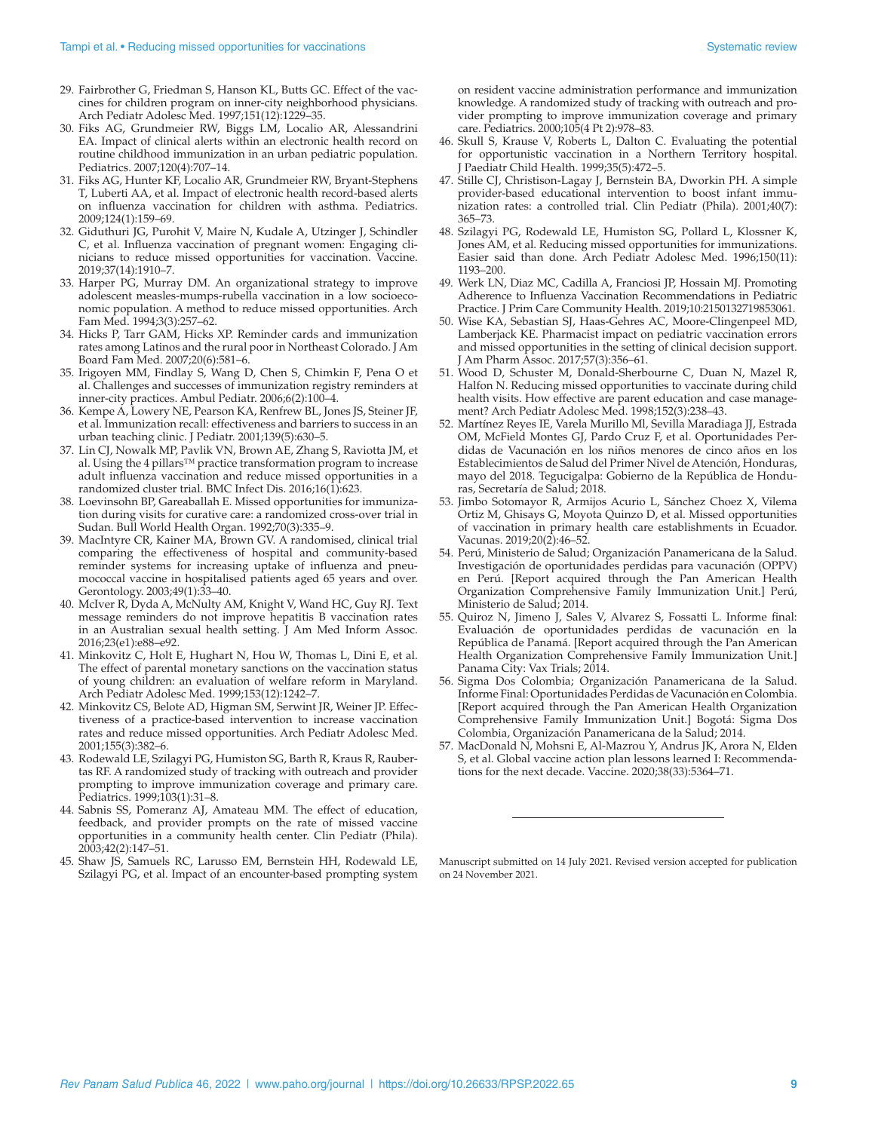- 29. Fairbrother G, Friedman S, Hanson KL, Butts GC. Effect of the vaccines for children program on inner-city neighborhood physicians. Arch Pediatr Adolesc Med. 1997;151(12):1229–35.
- 30. Fiks AG, Grundmeier RW, Biggs LM, Localio AR, Alessandrini EA. Impact of clinical alerts within an electronic health record on routine childhood immunization in an urban pediatric population. Pediatrics. 2007;120(4):707–14.
- 31. Fiks AG, Hunter KF, Localio AR, Grundmeier RW, Bryant-Stephens T, Luberti AA, et al. Impact of electronic health record-based alerts on influenza vaccination for children with asthma. Pediatrics. 2009;124(1):159–69.
- 32. Giduthuri JG, Purohit V, Maire N, Kudale A, Utzinger J, Schindler C, et al. Influenza vaccination of pregnant women: Engaging clinicians to reduce missed opportunities for vaccination. Vaccine. 2019;37(14):1910–7.
- 33. Harper PG, Murray DM. An organizational strategy to improve adolescent measles-mumps-rubella vaccination in a low socioeconomic population. A method to reduce missed opportunities. Arch Fam Med. 1994;3(3):257–62.
- 34. Hicks P, Tarr GAM, Hicks XP. Reminder cards and immunization rates among Latinos and the rural poor in Northeast Colorado. J Am Board Fam Med. 2007;20(6):581–6.
- 35. Irigoyen MM, Findlay S, Wang D, Chen S, Chimkin F, Pena O et al. Challenges and successes of immunization registry reminders at inner-city practices. Ambul Pediatr. 2006;6(2):100–4.
- 36. Kempe A, Lowery NE, Pearson KA, Renfrew BL, Jones JS, Steiner JF, et al. Immunization recall: effectiveness and barriers to success in an urban teaching clinic. J Pediatr. 2001;139(5):630–5.
- 37. Lin CJ, Nowalk MP, Pavlik VN, Brown AE, Zhang S, Raviotta JM, et al. Using the 4 pillars™ practice transformation program to increase adult influenza vaccination and reduce missed opportunities in a randomized cluster trial. BMC Infect Dis. 2016;16(1):623.
- 38. Loevinsohn BP, Gareaballah E. Missed opportunities for immunization during visits for curative care: a randomized cross-over trial in Sudan. Bull World Health Organ. 1992;70(3):335–9.
- 39. MacIntyre CR, Kainer MA, Brown GV. A randomised, clinical trial comparing the effectiveness of hospital and community-based reminder systems for increasing uptake of influenza and pneumococcal vaccine in hospitalised patients aged 65 years and over. Gerontology. 2003;49(1):33–40.
- 40. McIver R, Dyda A, McNulty AM, Knight V, Wand HC, Guy RJ. Text message reminders do not improve hepatitis B vaccination rates in an Australian sexual health setting. J Am Med Inform Assoc. 2016;23(e1):e88–e92.
- 41. Minkovitz C, Holt E, Hughart N, Hou W, Thomas L, Dini E, et al. The effect of parental monetary sanctions on the vaccination status of young children: an evaluation of welfare reform in Maryland. Arch Pediatr Adolesc Med. 1999;153(12):1242–7.
- 42. Minkovitz CS, Belote AD, Higman SM, Serwint JR, Weiner JP. Effectiveness of a practice-based intervention to increase vaccination rates and reduce missed opportunities. Arch Pediatr Adolesc Med. 2001;155(3):382–6.
- 43. Rodewald LE, Szilagyi PG, Humiston SG, Barth R, Kraus R, Raubertas RF. A randomized study of tracking with outreach and provider prompting to improve immunization coverage and primary care. Pediatrics. 1999;103(1):31–8.
- 44. Sabnis SS, Pomeranz AJ, Amateau MM. The effect of education, feedback, and provider prompts on the rate of missed vaccine opportunities in a community health center. Clin Pediatr (Phila). 2003;42(2):147–51.
- 45. Shaw JS, Samuels RC, Larusso EM, Bernstein HH, Rodewald LE, Szilagyi PG, et al. Impact of an encounter-based prompting system

on resident vaccine administration performance and immunization knowledge. A randomized study of tracking with outreach and provider prompting to improve immunization coverage and primary care. Pediatrics. 2000;105(4 Pt 2):978–83.

- 46. Skull S, Krause V, Roberts L, Dalton C. Evaluating the potential for opportunistic vaccination in a Northern Territory hospital. J Paediatr Child Health. 1999;35(5):472–5.
- 47. Stille CJ, Christison-Lagay J, Bernstein BA, Dworkin PH. A simple provider-based educational intervention to boost infant immunization rates: a controlled trial. Clin Pediatr (Phila). 2001;40(7): 365–73.
- 48. Szilagyi PG, Rodewald LE, Humiston SG, Pollard L, Klossner K, Jones AM, et al. Reducing missed opportunities for immunizations. Easier said than done. Arch Pediatr Adolesc Med. 1996;150(11): 1193–200.
- 49. Werk LN, Diaz MC, Cadilla A, Franciosi JP, Hossain MJ. Promoting Adherence to Influenza Vaccination Recommendations in Pediatric Practice. J Prim Care Community Health. 2019;10:2150132719853061.
- 50. Wise KA, Sebastian SJ, Haas-Gehres AC, Moore-Clingenpeel MD, Lamberjack KE. Pharmacist impact on pediatric vaccination errors and missed opportunities in the setting of clinical decision support. Am Pharm Assoc. 2017;57(3):356-61.
- 51. Wood D, Schuster M, Donald-Sherbourne C, Duan N, Mazel R, Halfon N. Reducing missed opportunities to vaccinate during child health visits. How effective are parent education and case management? Arch Pediatr Adolesc Med. 1998;152(3):238–43.
- 52. Martínez Reyes IE, Varela Murillo Ml, Sevilla Maradiaga JJ, Estrada OM, McField Montes GJ, Pardo Cruz F, et al. Oportunidades Perdidas de Vacunación en los niños menores de cinco años en los Establecimientos de Salud del Primer Nivel de Atención, Honduras, mayo del 2018. Tegucigalpa: Gobierno de la República de Honduras, Secretaría de Salud; 2018.
- 53. Jimbo Sotomayor R, Armijos Acurio L, Sánchez Choez X, Vilema Ortiz M, Ghisays G, Moyota Quinzo D, et al. Missed opportunities of vaccination in primary health care establishments in Ecuador. Vacunas. 2019;20(2):46–52.
- 54. Perú, Ministerio de Salud; Organización Panamericana de la Salud. Investigación de oportunidades perdidas para vacunación (OPPV) en Perú. [Report acquired through the Pan American Health Organization Comprehensive Family Immunization Unit.] Perú, Ministerio de Salud; 2014.
- 55. Quiroz N, Jimeno J, Sales V, Alvarez S, Fossatti L. Informe final: Evaluación de oportunidades perdidas de vacunación en la República de Panamá. [Report acquired through the Pan American Health Organization Comprehensive Family Immunization Unit.] Panama City: Vax Trials; 2014.
- 56. Sigma Dos Colombia; Organización Panamericana de la Salud. Informe Final: Oportunidades Perdidas de Vacunación en Colombia. [Report acquired through the Pan American Health Organization Comprehensive Family Immunization Unit.] Bogotá: Sigma Dos Colombia, Organización Panamericana de la Salud; 2014.
- 57. MacDonald N, Mohsni E, Al-Mazrou Y, Andrus JK, Arora N, Elden S, et al. Global vaccine action plan lessons learned I: Recommendations for the next decade. Vaccine. 2020;38(33):5364–71.

Manuscript submitted on 14 July 2021. Revised version accepted for publication on 24 November 2021.